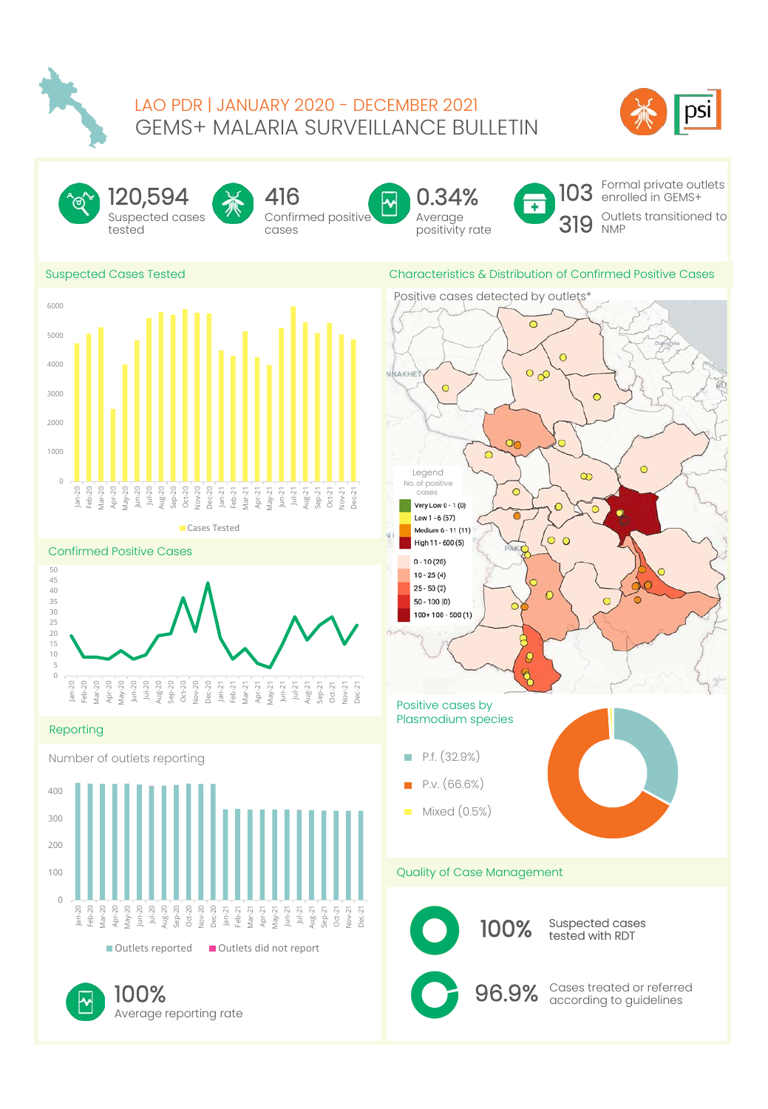

# GEMS+ MALARIA SURVEILLANCE BULLETIN<br>
Suspected Cases<br>
Suspected Cases<br>
Suspected Cases Tested<br>
Confirmed positive Malayer of Malayer of Confirmed Positive Cases<br>
Suspected Cases Tested<br>
Characteristics & Distribution of Co LAO PDR | JANUARY 2020 - DECEMBER 2021<br>GEMS+ MALARIA SURVEILLANCE BULLETIN



Suspected cases tested 120,594



Confirmed positive cases 416





Characteristics & Distribution of Confirmed Positive Cases

Formal private outlets enrolled in GEMS+ Outlets transitioned to NMP

# Suspected Cases Tested











100% Cases treated or referred 100%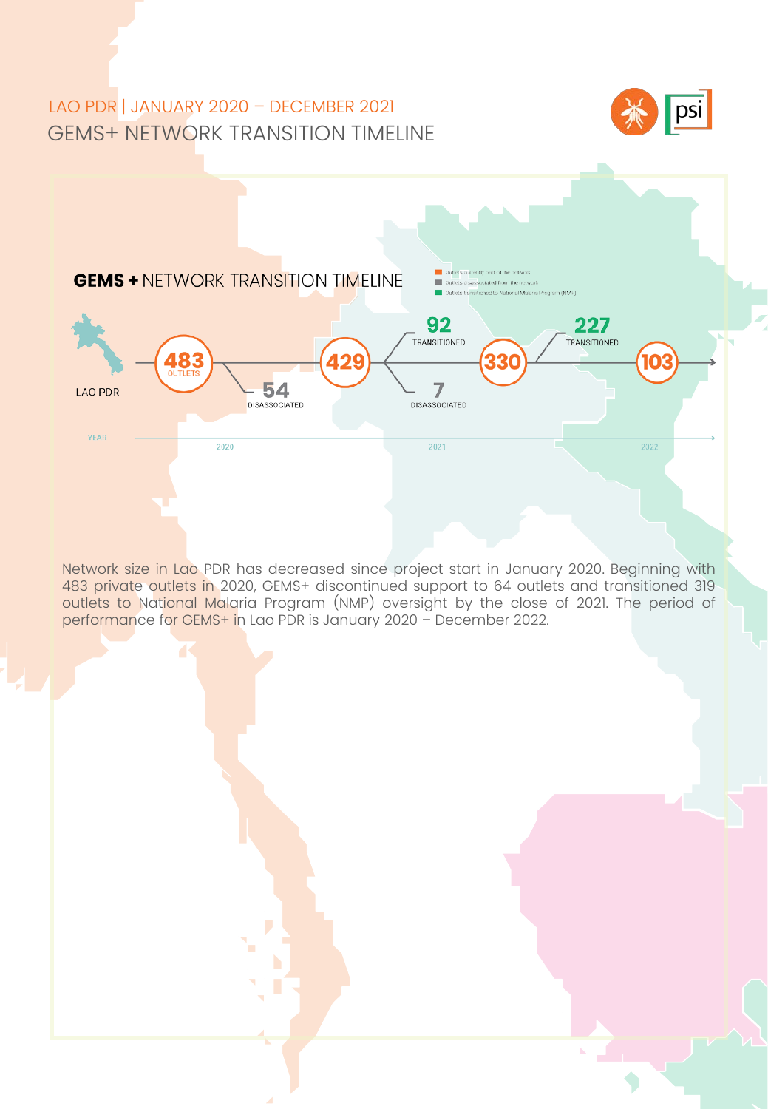# GEMS+ NETWORK TRANSITION TIMELINE LAO PDR | JANUARY 2020 – DECEMBER 2021





outlets to National Malaria Program (NMP) oversight by the close<br>performance for GEMS+ in Lao PDR is January 2020 – December 2022. Network size in Lao PDR has decreased since project start in January 2020. Beginning with 483 private outlets in 2020, GEMS+ discontinued support to 64 outlets and transitioned 319 outlets to National Malaria Program (NMP) oversight by the close of 2021. The period of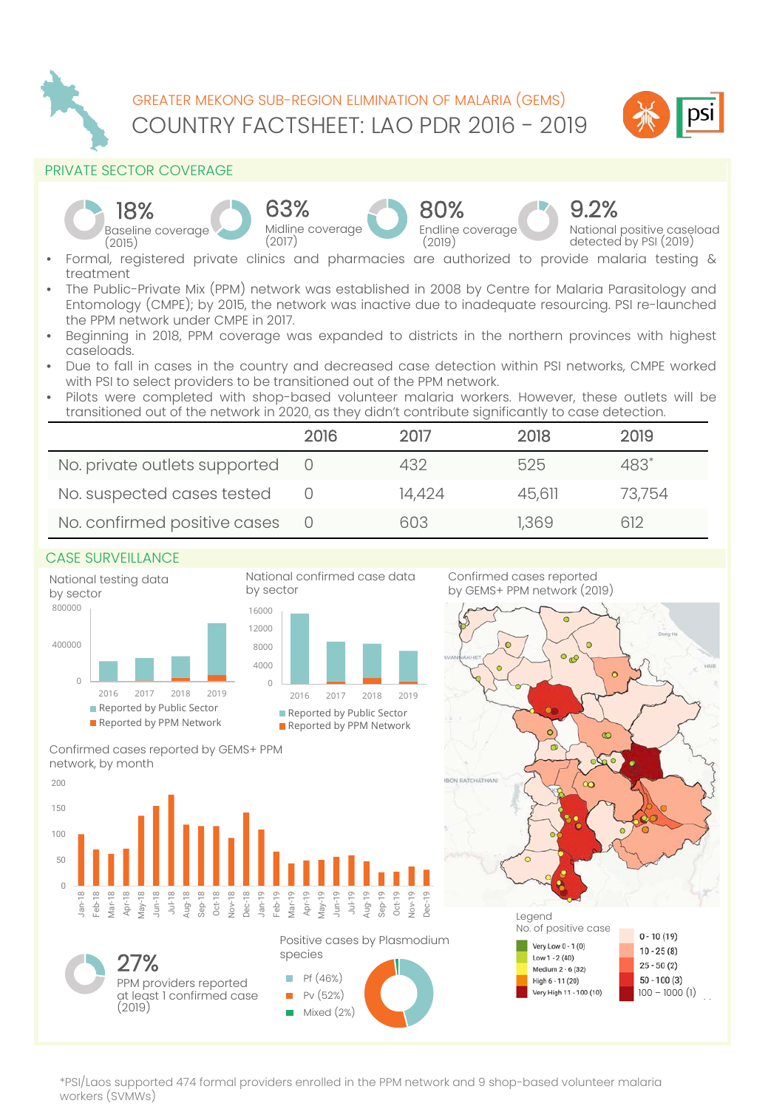

COUNTRY FACTSHEET: LAO PDR 2016 - 2019 GREATER MEKONG SUB-REGION ELIMINATION OF MALARIA (GEMS)



# PRIVATE SECTOR COVERAGE



- Formal, registered private clinics and pharmacies are authorized to provide malaria testing & treatment
- The Public-Private Mix (PPM) network was established in 2008 by Centre for Malaria Parasitology and Entomology (CMPE); by 2015, the network was inactive due to inadequate resourcing. PSI re-launched the PPM network under CMPE in 2017.
- Beginning in 2018, PPM coverage was expanded to districts in the northern provinces with highest caseloads.
- Due to fall in cases in the country and decreased case detection within PSI networks, CMPE worked with PSI to select providers to be transitioned out of the PPM network.
- Pilots were completed with shop-based volunteer malaria workers. However, these outlets will be transitioned out of the network in 2020, as they didn't contribute significantly to case detection.

|                               | 2016 | 2017   | 2018   | 2019   |
|-------------------------------|------|--------|--------|--------|
| No. private outlets supported |      | 432    | 525    | 483*   |
| No. suspected cases tested    |      | 14,424 | 45.611 | 73.754 |
| No. confirmed positive cases  |      | 603    | 1.369  | 612    |

## CASE SURVEILLANCE

PPM providers reported at least 1 confirmed case

(2019)

27%



High 6 - 11 (20)



\*PSI/Laos supported 474 formal providers enrolled in the PPM network and 9 shop-based volunteer malaria workers (SVMWs)

Pf (46%) Pv (52%) Mixed (2%)